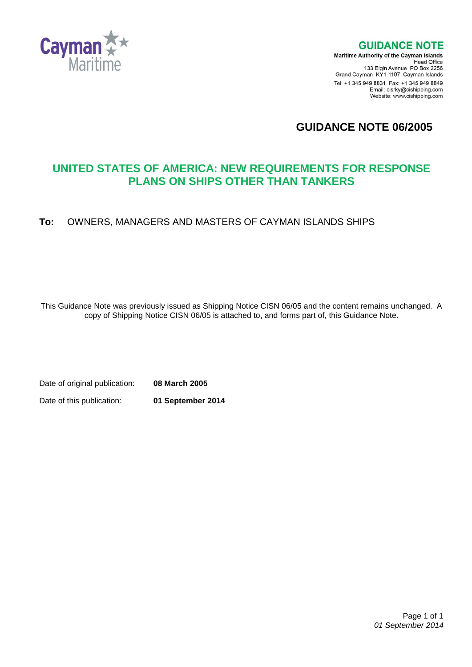

**GUIDANCE NOTE** 

**Maritime Authority of the Cayman Islands** Head Office<br>Head Office<br>133 Elgin Avenue PO Box 2256 Grand Cayman KY1-1107 Cayman Islands Tel: +1 345 949 8831 Fax: +1 345 949 8849 Email: cisrky@cishipping.com Website: www.cishipping.com

**GUIDANCE NOTE 06/2005**

# **UNITED STATES OF AMERICA: NEW REQUIREMENTS FOR RESPONSE PLANS ON SHIPS OTHER THAN TANKERS**

## **To:** OWNERS, MANAGERS AND MASTERS OF CAYMAN ISLANDS SHIPS

This Guidance Note was previously issued as Shipping Notice CISN 06/05 and the content remains unchanged. A copy of Shipping Notice CISN 06/05 is attached to, and forms part of, this Guidance Note.

Date of original publication: **08 March 2005** Date of this publication: **01 September 2014**

> Page 1 of 1 *01 September 2014*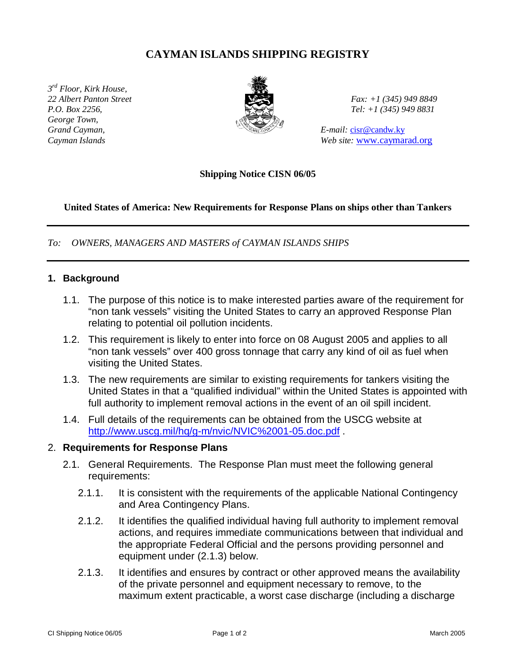## **CAYMAN ISLANDS SHIPPING REGISTRY**

*3 rd Floor, Kirk House, 22 Albert Panton Street Fax: +1 (345) 949 8849 P.O. Box 2256, Tel: +1 (345) 949 8831 George Town, Grand Cayman,* E-mail: cisr@candw.ky



*Cayman Islands Web site:* www.caymarad.org

**Shipping Notice CISN 06/05**

#### **United States of America: New Requirements for Response Plans on ships other than Tankers**

*To: OWNERS, MANAGERS AND MASTERS of CAYMAN ISLANDS SHIPS*

#### **1. Background**

- 1.1. The purpose of this notice is to make interested parties aware of the requirement for "non tank vessels" visiting the United States to carry an approved Response Plan relating to potential oil pollution incidents.
- 1.2. This requirement is likely to enter into force on 08 August 2005 and applies to all "non tank vessels" over 400 gross tonnage that carry any kind of oil as fuel when visiting the United States.
- 1.3. The new requirements are similar to existing requirements for tankers visiting the United States in that a "qualified individual" within the United States is appointed with full authority to implement removal actions in the event of an oil spill incident.
- 1.4. Full details of the requirements can be obtained from the USCG website at http://www.uscg.mil/hq/g-m/nvic/NVIC%2001-05.doc.pdf .

#### 2. **Requirements for Response Plans**

- 2.1. General Requirements. The Response Plan must meet the following general requirements:
	- 2.1.1. It is consistent with the requirements of the applicable National Contingency and Area Contingency Plans.
	- 2.1.2. It identifies the qualified individual having full authority to implement removal actions, and requires immediate communications between that individual and the appropriate Federal Official and the persons providing personnel and equipment under (2.1.3) below.
	- 2.1.3. It identifies and ensures by contract or other approved means the availability of the private personnel and equipment necessary to remove, to the maximum extent practicable, a worst case discharge (including a discharge